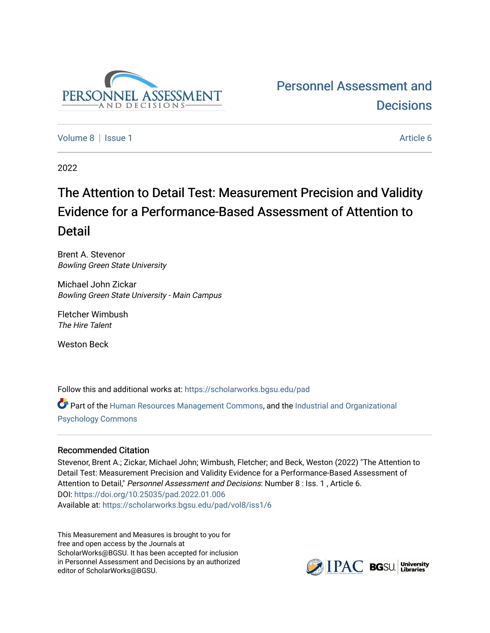

# [Personnel Assessment and](https://scholarworks.bgsu.edu/pad)  **Decisions**

[Volume 8](https://scholarworks.bgsu.edu/pad/vol8) | [Issue 1](https://scholarworks.bgsu.edu/pad/vol8/iss1) Article 6

2022

# The Attention to Detail Test: Measur ement Precision and Validity Evidence for a Performance-Based Assessment of Attention to Detail

Brent A. Stevenor Bowling Green State University

Michael John Zickar Bowling Green State University - Main Campus

Fletcher Wimbush The Hire Talent

Weston Beck

Follow this and additional works at: [https://scholarworks.bgsu.edu/pad](https://scholarworks.bgsu.edu/pad?utm_source=scholarworks.bgsu.edu%2Fpad%2Fvol8%2Fiss1%2F6&utm_medium=PDF&utm_campaign=PDFCoverPages)

Part of the [Human Resources Management Commons,](http://network.bepress.com/hgg/discipline/633?utm_source=scholarworks.bgsu.edu%2Fpad%2Fvol8%2Fiss1%2F6&utm_medium=PDF&utm_campaign=PDFCoverPages) and the [Industrial and Organizational](http://network.bepress.com/hgg/discipline/412?utm_source=scholarworks.bgsu.edu%2Fpad%2Fvol8%2Fiss1%2F6&utm_medium=PDF&utm_campaign=PDFCoverPages) [Psychology Commons](http://network.bepress.com/hgg/discipline/412?utm_source=scholarworks.bgsu.edu%2Fpad%2Fvol8%2Fiss1%2F6&utm_medium=PDF&utm_campaign=PDFCoverPages) 

# Recommended Citation

Stevenor, Brent A.; Zickar, Michael John; Wimbush, Fletcher; and Beck, Weston (2022) "The Attention to Detail Test: Measurement Precision and Validity Evidence for a Performance-Based Assessment of Attention to Detail," Personnel Assessment and Decisions: Number 8 : Iss. 1, Article 6. DOI:<https://doi.org/10.25035/pad.2022.01.006> Available at: [https://scholarworks.bgsu.edu/pad/vol8/iss1/6](https://scholarworks.bgsu.edu/pad/vol8/iss1/6?utm_source=scholarworks.bgsu.edu%2Fpad%2Fvol8%2Fiss1%2F6&utm_medium=PDF&utm_campaign=PDFCoverPages) 

This Measurement and Measures is brought to you for free and open access by the Journals at ScholarWorks@BGSU. It has been accepted for inclusion in Personnel Assessment and Decisions by an authorized editor of ScholarWorks@BGSU.

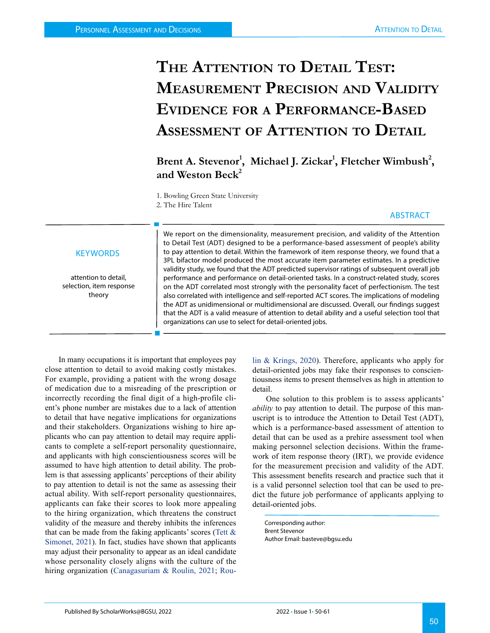# **The Attention to Detail Test: Measurement Precision and Validity Evidence for a Performance-Based Assessment of Attention to Detail**

Brent A. Stevenor<sup>1</sup>, Michael J. Zickar<sup>1</sup>, Fletcher Wimbush<sup>2</sup>, and Weston Beck<sup>2</sup>

1. Bowling Green State University 2. The Hire Talent

### ABSTRACT

### **KEYWORDS**

attention to detail, selection, item response theory

We report on the dimensionality, measurement precision, and validity of the Attention to Detail Test (ADT) designed to be a performance-based assessment of people's ability to pay attention to detail. Within the framework of item response theory, we found that a 3PL bifactor model produced the most accurate item parameter estimates. In a predictive validity study, we found that the ADT predicted supervisor ratings of subsequent overall job performance and performance on detail-oriented tasks. In a construct-related study, scores on the ADT correlated most strongly with the personality facet of perfectionism. The test also correlated with intelligence and self-reported ACT scores. The implications of modeling the ADT as unidimensional or multidimensional are discussed. Overall, our findings suggest that the ADT is a valid measure of attention to detail ability and a useful selection tool that organizations can use to select for detail-oriented jobs.

In many occupations it is important that employees pay close attention to detail to avoid making costly mistakes. For example, providing a patient with the wrong dosage of medication due to a misreading of the prescription or incorrectly recording the final digit of a high-profile client's phone number are mistakes due to a lack of attention to detail that have negative implications for organizations and their stakeholders. Organizations wishing to hire applicants who can pay attention to detail may require applicants to complete a self-report personality questionnaire, and applicants with high conscientiousness scores will be assumed to have high attention to detail ability. The problem is that assessing applicants' perceptions of their ability to pay attention to detail is not the same as assessing their actual ability. With self-report personality questionnaires, applicants can fake their scores to look more appealing to the hiring organization, which threatens the construct validity of the measure and thereby inhibits the inferences that can be made from the faking applicants' scores (Tett & Simonet, 2021). In fact, studies have shown that applicants may adjust their personality to appear as an ideal candidate whose personality closely aligns with the culture of the hiring organization ([Canagasuriam & Roulin, 2021;](#page-10-0) [Rou-](#page-11-0) [lin & Krings, 2020](#page-11-0)). Therefore, applicants who apply for detail-oriented jobs may fake their responses to conscientiousness items to present themselves as high in attention to detail.

One solution to this problem is to assess applicants' *ability* to pay attention to detail. The purpose of this manuscript is to introduce the Attention to Detail Test (ADT), which is a performance-based assessment of attention to detail that can be used as a prehire assessment tool when making personnel selection decisions. Within the framework of item response theory (IRT), we provide evidence for the measurement precision and validity of the ADT. This assessment benefits research and practice such that it is a valid personnel selection tool that can be used to predict the future job performance of applicants applying to detail-oriented jobs.

Corresponding author: Brent Stevenor Author Email: basteve@bgsu.edu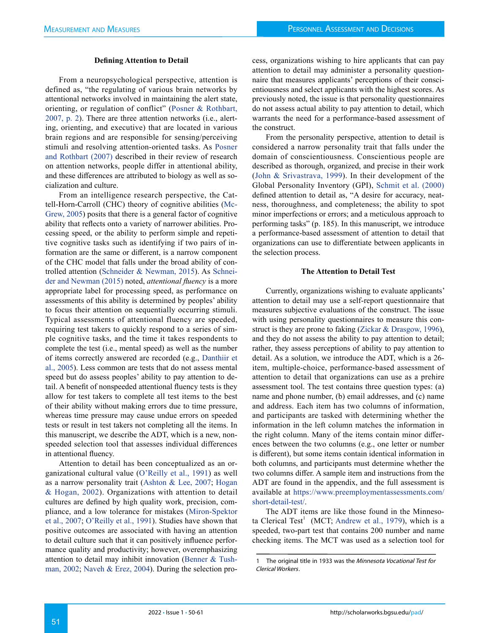#### **Defining Attention to Detail**

From a neuropsychological perspective, attention is defined as, "the regulating of various brain networks by attentional networks involved in maintaining the alert state, orienting, or regulation of conflict" [\(Posner & Rothbart,](#page-11-1)  [2007, p. 2\)](#page-11-1). There are three attention networks (i.e., alerting, orienting, and executive) that are located in various brain regions and are responsible for sensing/perceiving stimuli and resolving attention-oriented tasks. As [Posner](#page-11-1)  [and Rothbart \(2007\)](#page-11-1) described in their review of research on attention networks, people differ in attentional ability, and these differences are attributed to biology as well as socialization and culture.

From an intelligence research perspective, the Cattell-Horn-Carroll (CHC) theory of cognitive abilities ([Mc-](#page-11-2)[Grew, 2005](#page-11-2)) posits that there is a general factor of cognitive ability that reflects onto a variety of narrower abilities. Processing speed, or the ability to perform simple and repetitive cognitive tasks such as identifying if two pairs of information are the same or different, is a narrow component of the CHC model that falls under the broad ability of controlled attention [\(Schneider & Newman, 2015](#page-11-3)). As [Schnei](#page-11-3)[der and Newman \(2015\)](#page-11-3) noted, *attentional fluency* is a more appropriate label for processing speed, as performance on assessments of this ability is determined by peoples' ability to focus their attention on sequentially occurring stimuli. Typical assessments of attentional fluency are speeded, requiring test takers to quickly respond to a series of simple cognitive tasks, and the time it takes respondents to complete the test (i.e., mental speed) as well as the number of items correctly answered are recorded (e.g., [Danthiir et](#page-10-1)  [al., 2005\)](#page-10-1). Less common are tests that do not assess mental speed but do assess peoples' ability to pay attention to detail. A benefit of nonspeeded attentional fluency tests is they allow for test takers to complete all test items to the best of their ability without making errors due to time pressure, whereas time pressure may cause undue errors on speeded tests or result in test takers not completing all the items. In this manuscript, we describe the ADT, which is a new, nonspeeded selection tool that assesses individual differences in attentional fluency.

Attention to detail has been conceptualized as an organizational cultural value (O'Reilly et al., 1991) as well as a narrow personality trait [\(Ashton & Lee, 2007;](#page-10-2) [Hogan](#page-10-3)  [& Hogan, 2002](#page-10-3)). Organizations with attention to detail cultures are defined by high quality work, precision, compliance, and a low tolerance for mistakes [\(Miron-Spektor](#page-11-4)  [et al., 2007;](#page-11-4) O'Reilly et al., 1991). Studies have shown that positive outcomes are associated with having an attention to detail culture such that it can positively influence performance quality and productivity; however, overemphasizing attention to detail may inhibit innovation ([Benner & Tush](#page-10-4)[man, 2002](#page-10-4); [Naveh & Erez, 2004](#page-11-5)). During the selection process, organizations wishing to hire applicants that can pay attention to detail may administer a personality questionnaire that measures applicants' perceptions of their conscientiousness and select applicants with the highest scores. As previously noted, the issue is that personality questionnaires do not assess actual ability to pay attention to detail, which warrants the need for a performance-based assessment of the construct.

From the personality perspective, attention to detail is considered a narrow personality trait that falls under the domain of conscientiousness. Conscientious people are described as thorough, organized, and precise in their work ([John & Srivastrava, 1999](#page-10-5)). In their development of the Global Personality Inventory (GPI), [Schmit et al. \(2000\)](#page-11-6) defined attention to detail as, "A desire for accuracy, neatness, thoroughness, and completeness; the ability to spot minor imperfections or errors; and a meticulous approach to performing tasks" (p. 185). In this manuscript, we introduce a performance-based assessment of attention to detail that organizations can use to differentiate between applicants in the selection process.

#### **The Attention to Detail Test**

Currently, organizations wishing to evaluate applicants' attention to detail may use a self-report questionnaire that measures subjective evaluations of the construct. The issue with using personality questionnaires to measure this construct is they are prone to faking (Zickar & Drasgow, 1996), and they do not assess the ability to pay attention to detail; rather, they assess perceptions of ability to pay attention to detail. As a solution, we introduce the ADT, which is a 26 item, multiple-choice, performance-based assessment of attention to detail that organizations can use as a prehire assessment tool. The test contains three question types: (a) name and phone number, (b) email addresses, and (c) name and address. Each item has two columns of information, and participants are tasked with determining whether the information in the left column matches the information in the right column. Many of the items contain minor differences between the two columns (e.g., one letter or number is different), but some items contain identical information in both columns, and participants must determine whether the two columns differ. A sample item and instructions from the ADT are found in the appendix, and the full assessment is available at [https://www.preemploymentassessments.com/](https://www.preemploymentassessments.com/short-detail-test/) [short-detail-test/.](https://www.preemploymentassessments.com/short-detail-test/)

The ADT items are like those found in the Minneso-ta Clerical Test<sup>1</sup> (MCT; [Andrew et al., 1979\)](#page-10-6), which is a speeded, two-part test that contains 200 number and name checking items. The MCT was used as a selection tool for

<sup>1</sup> The original title in 1933 was the Minnesota Vocational Test for Clerical Workers.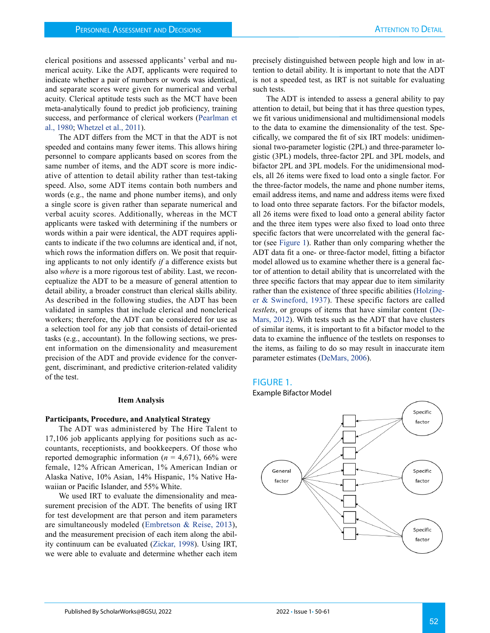clerical positions and assessed applicants' verbal and numerical acuity. Like the ADT, applicants were required to indicate whether a pair of numbers or words was identical, and separate scores were given for numerical and verbal acuity. Clerical aptitude tests such as the MCT have been meta-analytically found to predict job proficiency, training success, and performance of clerical workers ([Pearlman et](#page-11-7) [al., 1980](#page-11-7); Whetzel et al., 2011).

The ADT differs from the MCT in that the ADT is not speeded and contains many fewer items. This allows hiring personnel to compare applicants based on scores from the same number of items, and the ADT score is more indicative of attention to detail ability rather than test-taking speed. Also, some ADT items contain both numbers and words (e.g., the name and phone number items), and only a single score is given rather than separate numerical and verbal acuity scores. Additionally, whereas in the MCT applicants were tasked with determining if the numbers or words within a pair were identical, the ADT requires applicants to indicate if the two columns are identical and, if not, which rows the information differs on. We posit that requiring applicants to not only identify *if* a difference exists but also *where* is a more rigorous test of ability. Last, we reconceptualize the ADT to be a measure of general attention to detail ability, a broader construct than clerical skills ability. As described in the following studies, the ADT has been validated in samples that include clerical and nonclerical workers; therefore, the ADT can be considered for use as a selection tool for any job that consists of detail-oriented tasks (e.g., accountant). In the following sections, we present information on the dimensionality and measurement precision of the ADT and provide evidence for the convergent, discriminant, and predictive criterion-related validity of the test.

#### **Item Analysis**

#### **Participants, Procedure, and Analytical Strategy**

The ADT was administered by The Hire Talent to 17,106 job applicants applying for positions such as accountants, receptionists, and bookkeepers. Of those who reported demographic information  $(n = 4.671)$ , 66% were female, 12% African American, 1% American Indian or Alaska Native, 10% Asian, 14% Hispanic, 1% Native Hawaiian or Pacific Islander, and 55% White.

We used IRT to evaluate the dimensionality and measurement precision of the ADT. The benefits of using IRT for test development are that person and item parameters are simultaneously modeled ([Embretson & Reise, 2013](#page-10-7)), and the measurement precision of each item along the ability continuum can be evaluated (Zickar, 1998). Using IRT, we were able to evaluate and determine whether each item precisely distinguished between people high and low in attention to detail ability. It is important to note that the ADT is not a speeded test, as IRT is not suitable for evaluating such tests.

The ADT is intended to assess a general ability to pay attention to detail, but being that it has three question types, we fit various unidimensional and multidimensional models to the data to examine the dimensionality of the test. Specifically, we compared the fit of six IRT models: unidimensional two-parameter logistic (2PL) and three-parameter logistic (3PL) models, three-factor 2PL and 3PL models, and bifactor 2PL and 3PL models. For the unidimensional models, all 26 items were fixed to load onto a single factor. For the three-factor models, the name and phone number items, email address items, and name and address items were fixed to load onto three separate factors. For the bifactor models, all 26 items were fixed to load onto a general ability factor and the three item types were also fixed to load onto three specific factors that were uncorrelated with the general factor (see [Figure 1](#page-3-0)). Rather than only comparing whether the ADT data fit a one- or three-factor model, fitting a bifactor model allowed us to examine whether there is a general factor of attention to detail ability that is uncorrelated with the three specific factors that may appear due to item similarity rather than the existence of three specific abilities ([Holzing](#page-10-8)[er & Swineford, 1937](#page-10-8)). These specific factors are called *testlets*, or groups of items that have similar content ([De-](#page-10-9)[Mars, 2012\)](#page-10-9). With tests such as the ADT that have clusters of similar items, it is important to fit a bifactor model to the data to examine the influence of the testlets on responses to the items, as failing to do so may result in inaccurate item parameter estimates [\(DeMars, 2006\)](#page-10-10).

#### <span id="page-3-0"></span>FIGURE 1.



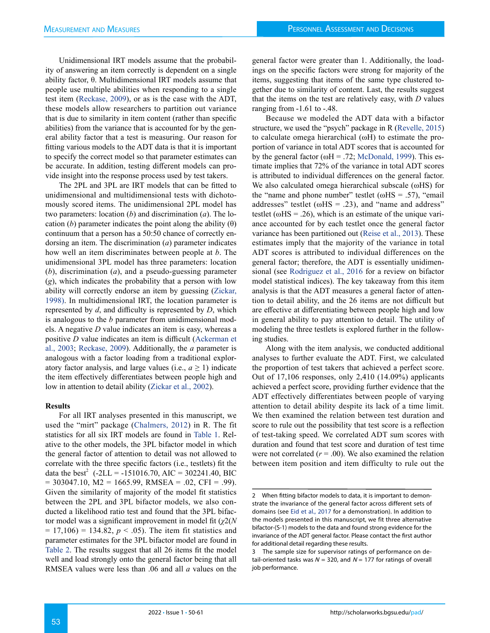Unidimensional IRT models assume that the probability of answering an item correctly is dependent on a single ability factor, θ. Multidimensional IRT models assume that people use multiple abilities when responding to a single test item ([Reckase, 2009\)](#page-11-8), or as is the case with the ADT, these models allow researchers to partition out variance that is due to similarity in item content (rather than specific abilities) from the variance that is accounted for by the general ability factor that a test is measuring. Our reason for fitting various models to the ADT data is that it is important to specify the correct model so that parameter estimates can be accurate. In addition, testing different models can provide insight into the response process used by test takers.

The 2PL and 3PL are IRT models that can be fitted to unidimensional and multidimensional tests with dichotomously scored items. The unidimensional 2PL model has two parameters: location (*b*) and discrimination (*a*). The location (*b*) parameter indicates the point along the ability  $(\theta)$ continuum that a person has a 50:50 chance of correctly endorsing an item. The discrimination (*a*) parameter indicates how well an item discriminates between people at *b*. The unidimensional 3PL model has three parameters: location (*b*), discrimination (*a*), and a pseudo-guessing parameter (*g*), which indicates the probability that a person with low ability will correctly endorse an item by guessing (Zickar, 1998). In multidimensional IRT, the location parameter is represented by *d*, and difficulty is represented by *D*, which is analogous to the *b* parameter from unidimensional models. A negative *D* value indicates an item is easy, whereas a positive *D* value indicates an item is difficult ([Ackerman et](#page-10-11)  [al., 2003](#page-10-11); [Reckase, 2009\)](#page-11-8). Additionally, the *a* parameter is analogous with a factor loading from a traditional exploratory factor analysis, and large values (i.e.,  $a \ge 1$ ) indicate the item effectively differentiates between people high and low in attention to detail ability (Zickar et al., 2002).

#### **Results**

For all IRT analyses presented in this manuscript, we used the "mirt" package ([Chalmers, 2012\)](#page-10-12) in R. The fit statistics for all six IRT models are found in Table 1. Relative to the other models, the 3PL bifactor model in which the general factor of attention to detail was not allowed to correlate with the three specific factors (i.e., testlets) fit the data the best<sup>2</sup> (-2LL = -151016.70, AIC = 302241.40, BIC  $= 303047.10$ , M2 = 1665.99, RMSEA = .02, CFI = .99). Given the similarity of majority of the model fit statistics between the 2PL and 3PL bifactor models, we also conducted a likelihood ratio test and found that the 3PL bifactor model was a significant improvement in model fit (*χ*2(*N*   $= 17,106$  = 134.82,  $p < .05$ ). The item fit statistics and parameter estimates for the 3PL bifactor model are found in Table 2. The results suggest that all 26 items fit the model well and load strongly onto the general factor being that all RMSEA values were less than .06 and all *a* values on the

general factor were greater than 1. Additionally, the loadings on the specific factors were strong for majority of the items, suggesting that items of the same type clustered together due to similarity of content. Last, the results suggest that the items on the test are relatively easy, with *D* values ranging from -1.61 to -.48.

Because we modeled the ADT data with a bifactor structure, we used the "psych" package in R ([Revelle, 2015\)](#page-11-9) to calculate omega hierarchical (ωH) to estimate the proportion of variance in total ADT scores that is accounted for by the general factor ( $\omega$ H = .72; [McDonald, 1999\)](#page-11-10). This estimate implies that 72% of the variance in total ADT scores is attributed to individual differences on the general factor. We also calculated omega hierarchical subscale (ωHS) for the "name and phone number" testlet ( $\omega$ HS = .57), "email addresses" testlet ( $\omega$ HS = .23), and "name and address" testlet ( $\omega$ HS = .26), which is an estimate of the unique variance accounted for by each testlet once the general factor variance has been partitioned out ([Reise et al., 2013](#page-11-11)). These estimates imply that the majority of the variance in total ADT scores is attributed to individual differences on the general factor; therefore, the ADT is essentially unidimensional (see [Rodriguez et al., 2016](#page-11-12) for a review on bifactor model statistical indices). The key takeaway from this item analysis is that the ADT measures a general factor of attention to detail ability, and the 26 items are not difficult but are effective at differentiating between people high and low in general ability to pay attention to detail. The utility of modeling the three testlets is explored further in the following studies.

Along with the item analysis, we conducted additional analyses to further evaluate the ADT. First, we calculated the proportion of test takers that achieved a perfect score. Out of 17,106 responses, only 2,410 (14.09%) applicants achieved a perfect score, providing further evidence that the ADT effectively differentiates between people of varying attention to detail ability despite its lack of a time limit. We then examined the relation between test duration and score to rule out the possibility that test score is a reflection of test-taking speed. We correlated ADT sum scores with duration and found that test score and duration of test time were not correlated  $(r = .00)$ . We also examined the relation between item position and item difficulty to rule out the

<sup>2</sup> When fitting bifactor models to data, it is important to demonstrate the invariance of the general factor across different sets of domains (see [Eid et al., 2017](#page-10-13) for a demonstration). In addition to the models presented in this manuscript, we fit three alternative bifactor-(S-1) models to the data and found strong evidence for the invariance of the ADT general factor. Please contact the first author for additional detail regarding these results.

<sup>3</sup> The sample size for supervisor ratings of performance on detail-oriented tasks was  $N = 320$ , and  $N = 177$  for ratings of overall job performance.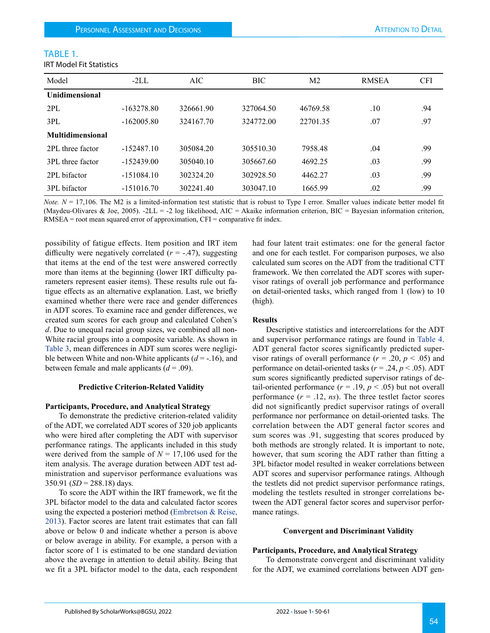IRT Model Fit Statistics

| Model                   | $-2LL$       | AIC.      | <b>BIC</b> | M <sub>2</sub> | <b>RMSEA</b> | <b>CFI</b> |
|-------------------------|--------------|-----------|------------|----------------|--------------|------------|
| <b>Unidimensional</b>   |              |           |            |                |              |            |
| 2PL                     | $-163278.80$ | 326661.90 | 327064.50  | 46769.58       | .10          | .94        |
| 3PL                     | $-162005.80$ | 324167.70 | 324772.00  | 22701.35       | .07          | .97        |
| <b>Multidimensional</b> |              |           |            |                |              |            |
| 2PL three factor        | $-152487.10$ | 305084.20 | 305510.30  | 7958.48        | .04          | .99        |
| 3PL three factor        | $-152439.00$ | 305040.10 | 305667.60  | 4692.25        | .03          | .99        |
| 2PL bifactor            | $-151084.10$ | 302324.20 | 302928.50  | 4462.27        | .03          | .99        |
| 3PL bifactor            | $-151016.70$ | 302241.40 | 303047.10  | 1665.99        | .02          | .99        |

*Note.*  $N = 17,106$ . The M2 is a limited-information test statistic that is robust to Type I error. Smaller values indicate better model fit (Maydeu-Olivares & Joe, 2005). -2LL = -2 log likelihood, AIC = Akaike information criterion, BIC = Bayesian information criterion, RMSEA = root mean squared error of approximation, CFI = comparative fit index.

possibility of fatigue effects. Item position and IRT item difficulty were negatively correlated  $(r = -.47)$ , suggesting that items at the end of the test were answered correctly more than items at the beginning (lower IRT difficulty parameters represent easier items). These results rule out fatigue effects as an alternative explanation. Last, we briefly examined whether there were race and gender differences in ADT scores. To examine race and gender differences, we created sum scores for each group and calculated Cohen's *d*. Due to unequal racial group sizes, we combined all non-White racial groups into a composite variable. As shown in Table 3, mean differences in ADT sum scores were negligible between White and non-White applicants (*d* = -.16), and between female and male applicants  $(d = .09)$ .

#### **Predictive Criterion-Related Validity**

#### **Participants, Procedure, and Analytical Strategy**

To demonstrate the predictive criterion-related validity of the ADT, we correlated ADT scores of 320 job applicants who were hired after completing the ADT with supervisor performance ratings. The applicants included in this study were derived from the sample of  $N = 17,106$  used for the item analysis. The average duration between ADT test administration and supervisor performance evaluations was  $350.91$  (*SD* = 288.18) days.

To score the ADT within the IRT framework, we fit the 3PL bifactor model to the data and calculated factor scores using the expected a posteriori method [\(Embretson & Reise,](#page-10-7)  [2013\)](#page-10-7). Factor scores are latent trait estimates that can fall above or below 0 and indicate whether a person is above or below average in ability. For example, a person with a factor score of 1 is estimated to be one standard deviation above the average in attention to detail ability. Being that we fit a 3PL bifactor model to the data, each respondent had four latent trait estimates: one for the general factor and one for each testlet. For comparison purposes, we also calculated sum scores on the ADT from the traditional CTT framework. We then correlated the ADT scores with supervisor ratings of overall job performance and performance on detail-oriented tasks, which ranged from 1 (low) to 10 (high).

#### **Results**

Descriptive statistics and intercorrelations for the ADT and supervisor performance ratings are found in Table 4. ADT general factor scores significantly predicted supervisor ratings of overall performance  $(r = .20, p < .05)$  and performance on detail-oriented tasks (*r* = .24, *p* < .05). ADT sum scores significantly predicted supervisor ratings of detail-oriented performance  $(r = .19, p < .05)$  but not overall performance  $(r = .12, ns)$ . The three testlet factor scores did not significantly predict supervisor ratings of overall performance nor performance on detail-oriented tasks. The correlation between the ADT general factor scores and sum scores was .91, suggesting that scores produced by both methods are strongly related. It is important to note, however, that sum scoring the ADT rather than fitting a 3PL bifactor model resulted in weaker correlations between ADT scores and supervisor performance ratings. Although the testlets did not predict supervisor performance ratings, modeling the testlets resulted in stronger correlations between the ADT general factor scores and supervisor performance ratings.

#### **Convergent and Discriminant Validity**

#### **Participants, Procedure, and Analytical Strategy**

To demonstrate convergent and discriminant validity for the ADT, we examined correlations between ADT gen-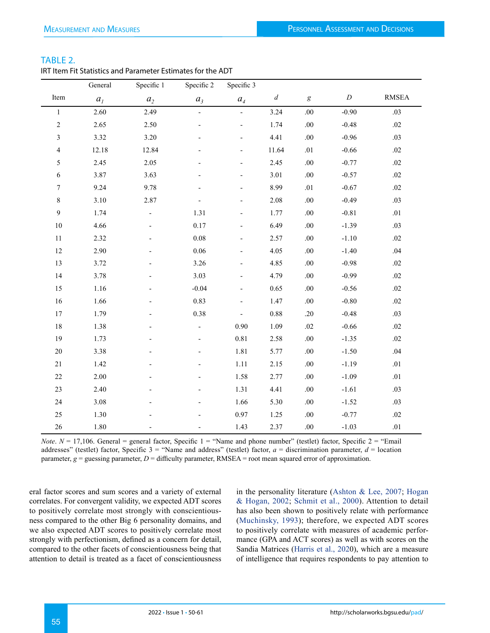|  | ÷ |  |
|--|---|--|

| IRT Item Fit Statistics and Parameter Estimates for the ADT |
|-------------------------------------------------------------|
|-------------------------------------------------------------|

|                | General        | Specific 1               | Specific 2               | Specific 3               |                  |                  |                  |              |
|----------------|----------------|--------------------------|--------------------------|--------------------------|------------------|------------------|------------------|--------------|
| Item           | a <sub>l</sub> | a <sub>2</sub>           | a <sub>3</sub>           | $a_4$                    | $\boldsymbol{d}$ | $\boldsymbol{g}$ | $\boldsymbol{D}$ | <b>RMSEA</b> |
| $\mathbf{1}$   | 2.60           | 2.49                     | $\overline{\phantom{a}}$ | $\Box$                   | 3.24             | .00              | $-0.90$          | .03          |
| $\overline{c}$ | 2.65           | 2.50                     |                          | $\overline{a}$           | 1.74             | $.00\,$          | $-0.48$          | .02          |
| 3              | 3.32           | 3.20                     |                          | $\overline{\phantom{0}}$ | 4.41             | .00              | $-0.96$          | .03          |
| 4              | 12.18          | 12.84                    |                          |                          | 11.64            | .01              | $-0.66$          | .02          |
| 5              | 2.45           | 2.05                     |                          |                          | 2.45             | $.00\,$          | $-0.77$          | .02          |
| 6              | 3.87           | 3.63                     |                          | $\overline{\phantom{0}}$ | 3.01             | $.00\,$          | $-0.57$          | .02          |
| $\overline{7}$ | 9.24           | 9.78                     |                          |                          | 8.99             | .01              | $-0.67$          | .02          |
| $\,8\,$        | 3.10           | 2.87                     |                          |                          | 2.08             | $.00\,$          | $-0.49$          | .03          |
| 9              | 1.74           | $\overline{\phantom{a}}$ | 1.31                     | $\overline{\phantom{0}}$ | 1.77             | $.00\,$          | $-0.81$          | $.01\,$      |
| 10             | 4.66           |                          | $0.17\,$                 |                          | 6.49             | $.00\,$          | $-1.39$          | .03          |
| 11             | 2.32           |                          | $0.08\,$                 |                          | 2.57             | .00              | $-1.10$          | .02          |
| 12             | 2.90           |                          | 0.06                     | $\overline{\phantom{a}}$ | 4.05             | $.00\,$          | $-1.40$          | .04          |
| 13             | 3.72           |                          | 3.26                     |                          | 4.85             | $.00\,$          | $-0.98$          | .02          |
| 14             | 3.78           |                          | 3.03                     |                          | 4.79             | .00              | $-0.99$          | $.02\,$      |
| 15             | 1.16           |                          | $-0.04$                  | $\overline{\phantom{a}}$ | 0.65             | .00              | $-0.56$          | .02          |
| 16             | 1.66           |                          | 0.83                     | $\overline{a}$           | 1.47             | $.00\,$          | $-0.80$          | $.02\,$      |
| 17             | 1.79           |                          | 0.38                     | $\overline{\phantom{0}}$ | 0.88             | .20              | $-0.48$          | .03          |
| 18             | 1.38           |                          | $\overline{\phantom{a}}$ | 0.90                     | 1.09             | .02              | $-0.66$          | $.02\,$      |
| 19             | 1.73           |                          |                          | 0.81                     | 2.58             | $.00\,$          | $-1.35$          | .02          |
| 20             | 3.38           |                          |                          | 1.81                     | 5.77             | $.00\,$          | $-1.50$          | .04          |
| $21\,$         | 1.42           |                          |                          | 1.11                     | 2.15             | $.00\,$          | $-1.19$          | .01          |
| $22\,$         | 2.00           |                          |                          | 1.58                     | 2.77             | $.00\,$          | $-1.09$          | $.01\,$      |
| 23             | 2.40           |                          |                          | 1.31                     | 4.41             | .00              | $-1.61$          | .03          |
| 24             | 3.08           |                          |                          | 1.66                     | 5.30             | $.00\,$          | $-1.52$          | .03          |
| 25             | 1.30           |                          |                          | 0.97                     | 1.25             | .00              | $-0.77$          | .02          |
| 26             | 1.80           |                          |                          | 1.43                     | 2.37             | $.00\,$          | $-1.03$          | $.01\,$      |

*Note*.  $N = 17,106$ . General = general factor, Specific 1 = "Name and phone number" (testlet) factor, Specific 2 = "Email addresses" (testlet) factor, Specific 3 = "Name and address" (testlet) factor, *a* = discrimination parameter, *d* = location parameter,  $g =$  guessing parameter,  $D =$  difficulty parameter, RMSEA = root mean squared error of approximation.

eral factor scores and sum scores and a variety of external correlates. For convergent validity, we expected ADT scores to positively correlate most strongly with conscientiousness compared to the other Big 6 personality domains, and we also expected ADT scores to positively correlate most strongly with perfectionism, defined as a concern for detail, compared to the other facets of conscientiousness being that attention to detail is treated as a facet of conscientiousness

in the personality literature ([Ashton & Lee, 2007](#page-10-2); [Hogan](#page-10-3) [& Hogan, 2002](#page-10-3); [Schmit et al., 2000\)](#page-11-6). Attention to detail has also been shown to positively relate with performance ([Muchinsky, 1993](#page-11-13)); therefore, we expected ADT scores to positively correlate with measures of academic performance (GPA and ACT scores) as well as with scores on the Sandia Matrices ([Harris et al., 2020](#page-10-14)), which are a measure of intelligence that requires respondents to pay attention to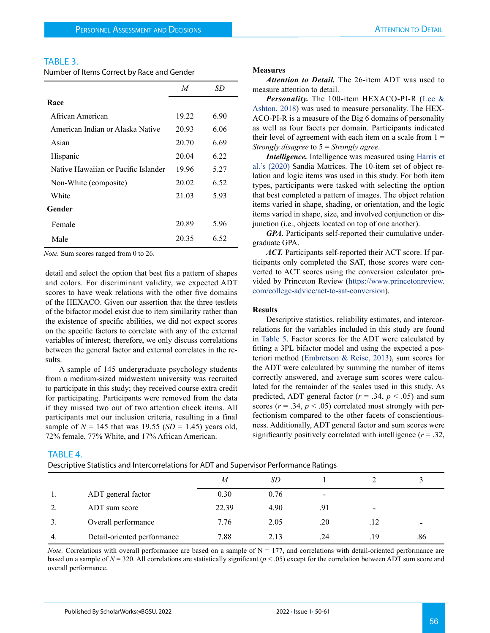# TABLE 3.

Number of Items Correct by Race and Gender

|                                     | M     | SD   |
|-------------------------------------|-------|------|
| Race                                |       |      |
| African American                    | 19.22 | 6.90 |
| American Indian or Alaska Native    | 20.93 | 6.06 |
| Asian                               | 20.70 | 6.69 |
| Hispanic                            | 20.04 | 6.22 |
| Native Hawaiian or Pacific Islander | 19.96 | 5.27 |
| Non-White (composite)               | 20.02 | 6.52 |
| White                               | 21.03 | 5.93 |
| Gender                              |       |      |
| Female                              | 20.89 | 5.96 |
| Male                                | 20.35 | 6.52 |

*Note.* Sum scores ranged from 0 to 26.

TABLE 4.

detail and select the option that best fits a pattern of shapes and colors. For discriminant validity, we expected ADT scores to have weak relations with the other five domains of the HEXACO. Given our assertion that the three testlets of the bifactor model exist due to item similarity rather than the existence of specific abilities, we did not expect scores on the specific factors to correlate with any of the external variables of interest; therefore, we only discuss correlations between the general factor and external correlates in the results.

A sample of 145 undergraduate psychology students from a medium-sized midwestern university was recruited to participate in this study; they received course extra credit for participating. Participants were removed from the data if they missed two out of two attention check items. All participants met our inclusion criteria, resulting in a final sample of  $N = 145$  that was 19.55 (*SD* = 1.45) years old, 72% female, 77% White, and 17% African American.

#### **Measures**

*Attention to Detail.* The 26-item ADT was used to measure attention to detail.

*Personality.* The 100-item HEXACO-PI-R ([Lee &](#page-10-15)  [Ashton, 2018](#page-10-15)) was used to measure personality. The HEX-ACO-PI-R is a measure of the Big 6 domains of personality as well as four facets per domain. Participants indicated their level of agreement with each item on a scale from  $1 =$ *Strongly disagree* to 5 = *Strongly agree*.

*Intelligence.* Intelligence was measured using [Harris et](#page-10-14)  [al.'s \(2020\)](#page-10-14) Sandia Matrices. The 10-item set of object relation and logic items was used in this study. For both item types, participants were tasked with selecting the option that best completed a pattern of images. The object relation items varied in shape, shading, or orientation, and the logic items varied in shape, size, and involved conjunction or disjunction (i.e., objects located on top of one another).

*GPA*. Participants self-reported their cumulative undergraduate GPA.

*ACT.* Participants self-reported their ACT score. If participants only completed the SAT, those scores were converted to ACT scores using the conversion calculator provided by Princeton Review ([https://www.princetonreview.](https://www.princetonreview.com/college-advice/act-to-sat-conversion) [com/college-advice/act-to-sat-conversion](https://www.princetonreview.com/college-advice/act-to-sat-conversion)).

#### **Results**

Descriptive statistics, reliability estimates, and intercorrelations for the variables included in this study are found in Table 5. Factor scores for the ADT were calculated by fitting a 3PL bifactor model and using the expected a posteriori method [\(Embretson & Reise, 2013](#page-10-7)), sum scores for the ADT were calculated by summing the number of items correctly answered, and average sum scores were calculated for the remainder of the scales used in this study. As predicted, ADT general factor  $(r = .34, p < .05)$  and sum scores ( $r = .34$ ,  $p < .05$ ) correlated most strongly with perfectionism compared to the other facets of conscientiousness. Additionally, ADT general factor and sum scores were significantly positively correlated with intelligence  $(r = .32, ...)$ 

# *M SD* 1 2 3 1. ADT general factor 0.30 0.76 -2. ADT sum score 22.39 4.90 .91 3. Overall performance  $7.76$  2.05 .20 .12 4. Detail-oriented performance  $\begin{array}{ccc} 7.88 & 2.13 & .24 & .19 \end{array}$  .86 Descriptive Statistics and Intercorrelations for ADT and Supervisor Performance Ratings

*Note.* Correlations with overall performance are based on a sample of  $N = 177$ , and correlations with detail-oriented performance are based on a sample of  $N = 320$ . All correlations are statistically significant ( $p < .05$ ) except for the correlation between ADT sum score and overall performance.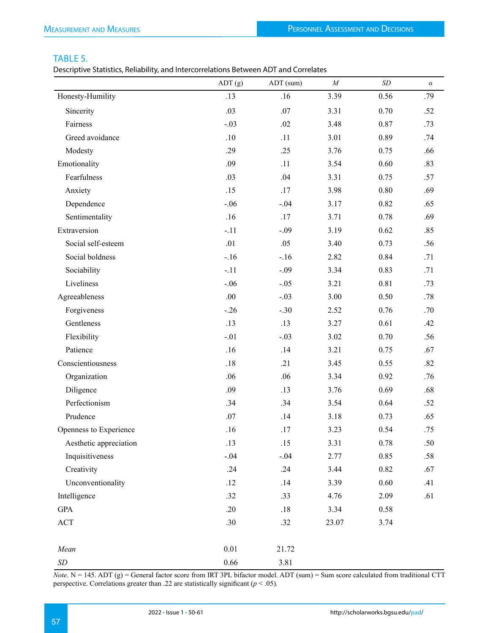# TABLE 5.

Descriptive Statistics, Reliability, and Intercorrelations Between ADT and Correlates

|                           | ADT(g)  | ADT (sum) | $\cal M$ | $\cal SD$ | $\alpha$ |
|---------------------------|---------|-----------|----------|-----------|----------|
| Honesty-Humility          | .13     | .16       | 3.39     | 0.56      | .79      |
| Sincerity                 | .03     | $.07$     | 3.31     | 0.70      | .52      |
| Fairness                  | $-.03$  | .02       | 3.48     | 0.87      | .73      |
| Greed avoidance           | $.10\,$ | .11       | 3.01     | 0.89      | .74      |
| Modesty                   | .29     | .25       | 3.76     | 0.75      | .66      |
| Emotionality              | .09     | .11       | 3.54     | 0.60      | .83      |
| Fearfulness               | .03     | .04       | 3.31     | 0.75      | .57      |
| Anxiety                   | .15     | .17       | 3.98     | 0.80      | .69      |
| Dependence                | $-.06$  | $-.04$    | 3.17     | 0.82      | .65      |
| Sentimentality            | .16     | .17       | 3.71     | 0.78      | .69      |
| Extraversion              | $-.11$  | $-.09$    | 3.19     | 0.62      | .85      |
| Social self-esteem        | .01     | .05       | 3.40     | 0.73      | .56      |
| Social boldness           | $-.16$  | $-.16$    | 2.82     | 0.84      | .71      |
| Sociability               | $-.11$  | $-.09$    | 3.34     | 0.83      | .71      |
| Liveliness                | $-.06$  | $-.05$    | 3.21     | 0.81      | .73      |
| Agreeableness             | $.00\,$ | $-.03$    | 3.00     | 0.50      | $.78$    |
| Forgiveness               | $-.26$  | $-.30$    | 2.52     | 0.76      | .70      |
| Gentleness                | .13     | .13       | 3.27     | 0.61      | .42      |
| Flexibility               | $-.01$  | $-.03$    | 3.02     | 0.70      | .56      |
| Patience                  | .16     | .14       | 3.21     | 0.75      | .67      |
| Conscientiousness         | $.18\,$ | .21       | 3.45     | 0.55      | .82      |
| Organization              | .06     | .06       | 3.34     | 0.92      | .76      |
| Diligence                 | .09     | .13       | 3.76     | 0.69      | .68      |
| Perfectionism             | .34     | .34       | 3.54     | 0.64      | .52      |
| Prudence                  | .07     | .14       | 3.18     | 0.73      | .65      |
| Openness to Experience    | .16     | .17       | 3.23     | 0.54      | .75      |
| Aesthetic appreciation    | .13     | .15       | 3.31     | 0.78      | .50      |
| Inquisitiveness           | $-.04$  | $-.04$    | 2.77     | 0.85      | .58      |
| Creativity                | .24     | .24       | 3.44     | 0.82      | .67      |
| Unconventionality         | .12     | .14       | 3.39     | 0.60      | .41      |
| Intelligence              | .32     | .33       | 4.76     | 2.09      | .61      |
| <b>GPA</b>                | .20     | .18       | 3.34     | 0.58      |          |
| $\mathbf{ACT}$            | .30     | .32       | 23.07    | 3.74      |          |
| Mean                      | 0.01    | 21.72     |          |           |          |
| $\ensuremath{\mathit SD}$ | 0.66    | 3.81      |          |           |          |

*Note*.  $N = 145$ . ADT (g) = General factor score from IRT 3PL bifactor model. ADT (sum) = Sum score calculated from traditional CTT perspective. Correlations greater than .22 are statistically significant (*p* < .05).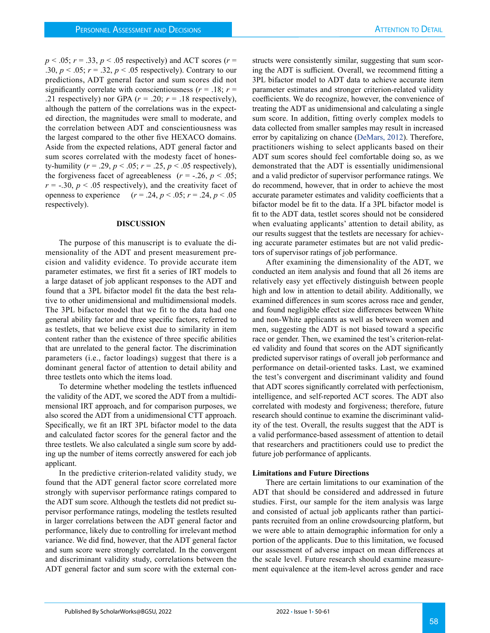$p < .05$ ;  $r = .33$ ,  $p < .05$  respectively) and ACT scores ( $r =$ .30,  $p < .05$ ;  $r = .32$ ,  $p < .05$  respectively). Contrary to our predictions, ADT general factor and sum scores did not significantly correlate with conscientiousness ( $r = .18$ ;  $r =$ .21 respectively) nor GPA  $(r = .20; r = .18$  respectively), although the pattern of the correlations was in the expected direction, the magnitudes were small to moderate, and the correlation between ADT and conscientiousness was the largest compared to the other five HEXACO domains. Aside from the expected relations, ADT general factor and sum scores correlated with the modesty facet of honesty-humility ( $r = .29$ ,  $p < .05$ ;  $r = .25$ ,  $p < .05$  respectively), the forgiveness facet of agreeableness  $(r = -.26, p < .05)$ ;  $r = -0.30$ ,  $p < 0.05$  respectively), and the creativity facet of openness to experience  $(r = .24, p < .05; r = .24, p < .05)$ respectively).

#### **DISCUSSION**

The purpose of this manuscript is to evaluate the dimensionality of the ADT and present measurement precision and validity evidence. To provide accurate item parameter estimates, we first fit a series of IRT models to a large dataset of job applicant responses to the ADT and found that a 3PL bifactor model fit the data the best relative to other unidimensional and multidimensional models. The 3PL bifactor model that we fit to the data had one general ability factor and three specific factors, referred to as testlets, that we believe exist due to similarity in item content rather than the existence of three specific abilities that are unrelated to the general factor. The discrimination parameters (i.e., factor loadings) suggest that there is a dominant general factor of attention to detail ability and three testlets onto which the items load.

To determine whether modeling the testlets influenced the validity of the ADT, we scored the ADT from a multidimensional IRT approach, and for comparison purposes, we also scored the ADT from a unidimensional CTT approach. Specifically, we fit an IRT 3PL bifactor model to the data and calculated factor scores for the general factor and the three testlets. We also calculated a single sum score by adding up the number of items correctly answered for each job applicant.

In the predictive criterion-related validity study, we found that the ADT general factor score correlated more strongly with supervisor performance ratings compared to the ADT sum score. Although the testlets did not predict supervisor performance ratings, modeling the testlets resulted in larger correlations between the ADT general factor and performance, likely due to controlling for irrelevant method variance. We did find, however, that the ADT general factor and sum score were strongly correlated. In the convergent and discriminant validity study, correlations between the ADT general factor and sum score with the external constructs were consistently similar, suggesting that sum scoring the ADT is sufficient. Overall, we recommend fitting a 3PL bifactor model to ADT data to achieve accurate item parameter estimates and stronger criterion-related validity coefficients. We do recognize, however, the convenience of treating the ADT as unidimensional and calculating a single sum score. In addition, fitting overly complex models to data collected from smaller samples may result in increased error by capitalizing on chance ([DeMars, 2012](#page-10-9)). Therefore, practitioners wishing to select applicants based on their ADT sum scores should feel comfortable doing so, as we demonstrated that the ADT is essentially unidimensional and a valid predictor of supervisor performance ratings. We do recommend, however, that in order to achieve the most accurate parameter estimates and validity coefficients that a bifactor model be fit to the data. If a 3PL bifactor model is fit to the ADT data, testlet scores should not be considered when evaluating applicants' attention to detail ability, as our results suggest that the testlets are necessary for achieving accurate parameter estimates but are not valid predictors of supervisor ratings of job performance.

After examining the dimensionality of the ADT, we conducted an item analysis and found that all 26 items are relatively easy yet effectively distinguish between people high and low in attention to detail ability. Additionally, we examined differences in sum scores across race and gender, and found negligible effect size differences between White and non-White applicants as well as between women and men, suggesting the ADT is not biased toward a specific race or gender. Then, we examined the test's criterion-related validity and found that scores on the ADT significantly predicted supervisor ratings of overall job performance and performance on detail-oriented tasks. Last, we examined the test's convergent and discriminant validity and found that ADT scores significantly correlated with perfectionism, intelligence, and self-reported ACT scores. The ADT also correlated with modesty and forgiveness; therefore, future research should continue to examine the discriminant validity of the test. Overall, the results suggest that the ADT is a valid performance-based assessment of attention to detail that researchers and practitioners could use to predict the future job performance of applicants.

#### **Limitations and Future Directions**

There are certain limitations to our examination of the ADT that should be considered and addressed in future studies. First, our sample for the item analysis was large and consisted of actual job applicants rather than participants recruited from an online crowdsourcing platform, but we were able to attain demographic information for only a portion of the applicants. Due to this limitation, we focused our assessment of adverse impact on mean differences at the scale level. Future research should examine measurement equivalence at the item-level across gender and race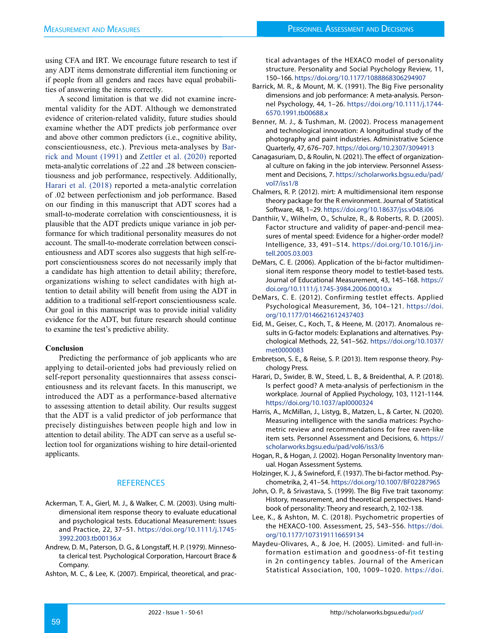using CFA and IRT. We encourage future research to test if any ADT items demonstrate differential item functioning or if people from all genders and races have equal probabilities of answering the items correctly.

A second limitation is that we did not examine incremental validity for the ADT. Although we demonstrated evidence of criterion-related validity, future studies should examine whether the ADT predicts job performance over and above other common predictors (i.e., cognitive ability, conscientiousness, etc.). Previous meta-analyses by [Bar](#page-10-16)[rick and Mount \(1991\)](#page-10-16) and Zettler et al. (2020) reported meta-analytic correlations of .22 and .28 between conscientiousness and job performance, respectively. Additionally, [Harari et al. \(2018\)](#page-10-17) reported a meta-analytic correlation of .02 between perfectionism and job performance. Based on our finding in this manuscript that ADT scores had a small-to-moderate correlation with conscientiousness, it is plausible that the ADT predicts unique variance in job performance for which traditional personality measures do not account. The small-to-moderate correlation between conscientiousness and ADT scores also suggests that high self-report conscientiousness scores do not necessarily imply that a candidate has high attention to detail ability; therefore, organizations wishing to select candidates with high attention to detail ability will benefit from using the ADT in addition to a traditional self-report conscientiousness scale. Our goal in this manuscript was to provide initial validity evidence for the ADT, but future research should continue to examine the test's predictive ability.

# **Conclusion**

Predicting the performance of job applicants who are applying to detail-oriented jobs had previously relied on self-report personality questionnaires that assess conscientiousness and its relevant facets. In this manuscript, we introduced the ADT as a performance-based alternative to assessing attention to detail ability. Our results suggest that the ADT is a valid predictor of job performance that precisely distinguishes between people high and low in attention to detail ability. The ADT can serve as a useful selection tool for organizations wishing to hire detail-oriented applicants.

# **REFERENCES**

- <span id="page-10-11"></span>Ackerman, T. A., Gierl, M. J., & Walker, C. M. (2003). Using multidimensional item response theory to evaluate educational and psychological tests. Educational Measurement: Issues and Practice, 22, 37–51. [https://doi.org/10.1111/j.1745-](https://doi.org/10.1111/j.1745-3992.2003.tb00136.x ) [3992.2003.tb00136.x](https://doi.org/10.1111/j.1745-3992.2003.tb00136.x )
- <span id="page-10-6"></span>Andrew, D. M., Paterson, D. G., & Longstaff, H. P. (1979). Minnesota clerical test. Psychological Corporation, Harcourt Brace & Company.
- <span id="page-10-2"></span>Ashton, M. C., & Lee, K. (2007). Empirical, theoretical, and prac-

tical advantages of the HEXACO model of personality structure. Personality and Social Psychology Review, 11, 150–166.<https://doi.org/10.1177/1088868306294907>

- <span id="page-10-16"></span>Barrick, M. R., & Mount, M. K. (1991). The Big Five personality dimensions and job performance: A meta-analysis. Personnel Psychology, 44, 1–26. [https://doi.org/10.1111/j.1744-](https://doi.org/10.1111/j.1744-6570.1991.tb00688.x) [6570.1991.tb00688.x](https://doi.org/10.1111/j.1744-6570.1991.tb00688.x)
- <span id="page-10-4"></span>Benner, M. J., & Tushman, M. (2002). Process management and technological innovation: A longitudinal study of the photography and paint industries. Administrative Science Quarterly, 47, 676–707.<https://doi.org/10.2307/3094913>
- <span id="page-10-0"></span>Canagasuriam, D., & Roulin, N. (2021). The effect of organizational culture on faking in the job interview. Personnel Assessment and Decisions, 7. [https://scholarworks.bgsu.edu/pad/](https://scholarworks.bgsu.edu/pad/vol7/iss1/8) [vol7/iss1/8](https://scholarworks.bgsu.edu/pad/vol7/iss1/8)
- <span id="page-10-12"></span>Chalmers, R. P. (2012). mirt: A multidimensional item response theory package for the R environment. Journal of Statistical Software, 48, 1–29. [https://doi.org/10.18637/jss.v048.i06](https://doi.org/10.18637/jss.v048.i06 )
- <span id="page-10-1"></span>Danthiir, V., Wilhelm, O., Schulze, R., & Roberts, R. D. (2005). Factor structure and validity of paper-and-pencil measures of mental speed: Evidence for a higher-order model? Intelligence, 33, 491–514. [https://doi.org/10.1016/j.in](https://doi.org/10.1016/j.intell.2005.03.003 )[tell.2005.03.003](https://doi.org/10.1016/j.intell.2005.03.003 )
- <span id="page-10-10"></span>DeMars, C. E. (2006). Application of the bi-factor multidimensional item response theory model to testlet-based tests. Journal of Educational Measurement, 43, 145–168. [https://](https://doi.org/10.1111/j.1745-3984.2006.00010.x) [doi.org/10.1111/j.1745-3984.2006.00010.x](https://doi.org/10.1111/j.1745-3984.2006.00010.x)
- <span id="page-10-9"></span>DeMars, C. E. (2012). Confirming testlet effects. Applied Psychological Measurement, 36, 104–121. [https://doi.](https://doi.org/10.1177/0146621612437403) [org/10.1177/0146621612437403](https://doi.org/10.1177/0146621612437403)
- <span id="page-10-13"></span>Eid, M., Geiser, C., Koch, T., & Heene, M. (2017). Anomalous results in G-factor models: Explanations and alternatives. Psychological Methods, 22, 541–562. [https://doi.org/10.1037/](https://doi.org/10.1037/met0000083) [met0000083](https://doi.org/10.1037/met0000083)
- <span id="page-10-7"></span>Embretson, S. E., & Reise, S. P. (2013). Item response theory. Psychology Press.
- <span id="page-10-17"></span>Harari, D., Swider, B. W., Steed, L. B., & Breidenthal, A. P. (2018). Is perfect good? A meta-analysis of perfectionism in the workplace. Journal of Applied Psychology, 103, 1121-1144. <https://doi.org/10.1037/apl0000324>
- <span id="page-10-14"></span>Harris, A., McMillan, J., Listyg, B., Matzen, L., & Carter, N. (2020). Measuring intelligence with the sandia matrices: Psychometric review and recommendations for free raven-like item sets. Personnel Assessment and Decisions, 6. [https://](https://scholarworks.bgsu.edu/pad/vol6/iss3/6 ) [scholarworks.bgsu.edu/pad/vol6/iss3/6](https://scholarworks.bgsu.edu/pad/vol6/iss3/6 )
- <span id="page-10-3"></span>Hogan, R., & Hogan, J. (2002). Hogan Personality Inventory manual. Hogan Assessment Systems.
- <span id="page-10-8"></span>Holzinger, K. J., & Swineford, F. (1937). The bi-factor method. Psychometrika, 2, 41–54. <https://doi.org/10.1007/BF02287965>
- <span id="page-10-5"></span>John, O. P., & Srivastava, S. (1999). The Big Five trait taxonomy: History, measurement, and theoretical perspectives. Handbook of personality: Theory and research, 2, 102-138.
- <span id="page-10-15"></span>Lee, K., & Ashton, M. C. (2018). Psychometric properties of the HEXACO-100. Assessment, 25, 543–556. [https://doi.](https://doi.org/10.1177/1073191116659134) [org/10.1177/1073191116659134](https://doi.org/10.1177/1073191116659134)
- Maydeu-Olivares, A., & Joe, H. (2005). Limited- and full-information estimation and goodness-of-fit testing in 2n contingency tables. Journal of the American Statistical Association, 100, 1009–1020. [https://doi.](https://doi.org/10.1198/016214504000002069)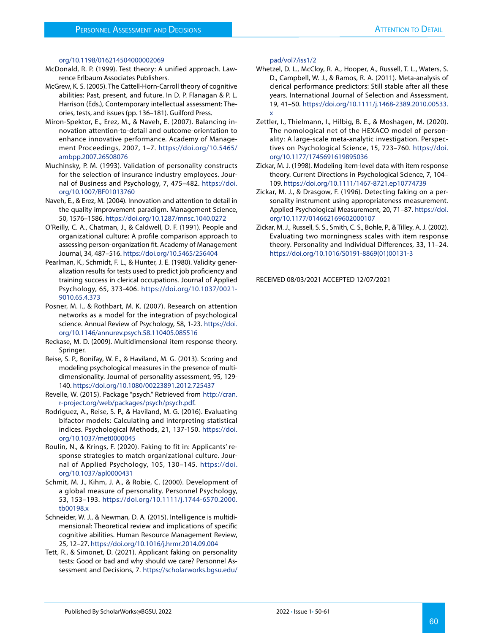#### [org/10.1198/016214504000002069](https://doi.org/10.1198/016214504000002069)

- <span id="page-11-10"></span>McDonald, R. P. (1999). Test theory: A unified approach. Lawrence Erlbaum Associates Publishers.
- <span id="page-11-2"></span>McGrew, K. S. (2005). The Cattell-Horn-Carroll theory of cognitive abilities: Past, present, and future. In D. P. Flanagan & P. L. Harrison (Eds.), Contemporary intellectual assessment: Theories, tests, and issues (pp. 136–181). Guilford Press.
- <span id="page-11-4"></span>Miron-Spektor, E., Erez, M., & Naveh, E. (2007). Balancing innovation attention-to-detail and outcome-orientation to enhance innovative performance. Academy of Management Proceedings, 2007, 1–7. [https://doi.org/10.5465/](https://doi.org/10.5465/ambpp.2007.26508076) [ambpp.2007.26508076](https://doi.org/10.5465/ambpp.2007.26508076)
- <span id="page-11-13"></span>Muchinsky, P. M. (1993). Validation of personality constructs for the selection of insurance industry employees. Journal of Business and Psychology, 7, 475–482. [https://doi.](https://doi.org/10.1007/BF01013760) [org/10.1007/BF01013760](https://doi.org/10.1007/BF01013760)
- <span id="page-11-5"></span>Naveh, E., & Erez, M. (2004). Innovation and attention to detail in the quality improvement paradigm. Management Science, 50, 1576–1586. <https://doi.org/10.1287/mnsc.1040.0272>
- O'Reilly, C. A., Chatman, J., & Caldwell, D. F. (1991). People and organizational culture: A profile comparison approach to assessing person-organization fit. Academy of Management Journal, 34, 487–516.<https://doi.org/10.5465/256404>
- <span id="page-11-7"></span>Pearlman, K., Schmidt, F. L., & Hunter, J. E. (1980). Validity generalization results for tests used to predict job proficiency and training success in clerical occupations. Journal of Applied Psychology, 65, 373-406. [https://doi.org/10.1037/0021-](https://doi.org/10.1037/0021-9010.65.4.373) [9010.65.4.373](https://doi.org/10.1037/0021-9010.65.4.373)
- <span id="page-11-1"></span>Posner, M. I., & Rothbart, M. K. (2007). Research on attention networks as a model for the integration of psychological science. Annual Review of Psychology, 58, 1-23. [https://doi.](https://doi.org/10.1146/annurev.psych.58.110405.085516) [org/10.1146/annurev.psych.58.110405.085516](https://doi.org/10.1146/annurev.psych.58.110405.085516)
- <span id="page-11-8"></span>Reckase, M. D. (2009). Multidimensional item response theory. Springer.
- <span id="page-11-11"></span>Reise, S. P., Bonifay, W. E., & Haviland, M. G. (2013). Scoring and modeling psychological measures in the presence of multidimensionality. Journal of personality assessment, 95, 129- 140.<https://doi.org/10.1080/00223891.2012.725437>
- <span id="page-11-9"></span>Revelle, W. (2015). Package "psych." Retrieved from [http://cran.](http://cran.r-project.org/web/packages/psych/psych.pdf) [r-project.org/web/packages/psych/psych.pdf.](http://cran.r-project.org/web/packages/psych/psych.pdf)
- <span id="page-11-12"></span>Rodriguez, A., Reise, S. P., & Haviland, M. G. (2016). Evaluating bifactor models: Calculating and interpreting statistical indices. Psychological Methods, 21, 137-150. [https://doi.](https://doi.org/10.1037/met0000045) [org/10.1037/met0000045](https://doi.org/10.1037/met0000045)
- <span id="page-11-0"></span>Roulin, N., & Krings, F. (2020). Faking to fit in: Applicants' response strategies to match organizational culture. Journal of Applied Psychology, 105, 130–145. [https://doi.](https://doi.org/10.1037/apl0000431 ) [org/10.1037/apl0000431](https://doi.org/10.1037/apl0000431 )
- <span id="page-11-6"></span>Schmit, M. J., Kihm, J. A., & Robie, C. (2000). Development of a global measure of personality. Personnel Psychology, 53, 153–193. [https://doi.org/10.1111/j.1744-6570.2000.](https://doi.org/10.1111/j.1744-6570.2000.tb00198.x) [tb00198.x](https://doi.org/10.1111/j.1744-6570.2000.tb00198.x)
- <span id="page-11-3"></span>Schneider, W. J., & Newman, D. A. (2015). Intelligence is multidimensional: Theoretical review and implications of specific cognitive abilities. Human Resource Management Review, 25, 12–27.<https://doi.org/10.1016/j.hrmr.2014.09.004>
- Tett, R., & Simonet, D. (2021). Applicant faking on personality tests: Good or bad and why should we care? Personnel Assessment and Decisions, 7. [https://scholarworks.bgsu.edu/](https://scholarworks.bgsu.edu/pad/vol7/iss1/2)

#### [pad/vol7/iss1/2](https://scholarworks.bgsu.edu/pad/vol7/iss1/2)

- Whetzel, D. L., McCloy, R. A., Hooper, A., Russell, T. L., Waters, S. D., Campbell, W. J., & Ramos, R. A. (2011). Meta-analysis of clerical performance predictors: Still stable after all these years. International Journal of Selection and Assessment, 19, 41–50. [https://doi.org/10.1111/j.1468-2389.2010.00533.](https://doi.org/10.1111/j.1468-2389.2010.00533.x) [x](https://doi.org/10.1111/j.1468-2389.2010.00533.x)
- Zettler, I., Thielmann, I., Hilbig, B. E., & Moshagen, M. (2020). The nomological net of the HEXACO model of personality: A large-scale meta-analytic investigation. Perspectives on Psychological Science, 15, 723–760. [https://doi.](https://doi.org/10.1177/1745691619895036) [org/10.1177/1745691619895036](https://doi.org/10.1177/1745691619895036)
- Zickar, M. J. (1998). Modeling item-level data with item response theory. Current Directions in Psychological Science, 7, 104– 109. <https://doi.org/10.1111/1467-8721.ep10774739>
- Zickar, M. J., & Drasgow, F. (1996). Detecting faking on a personality instrument using appropriateness measurement. Applied Psychological Measurement, 20, 71–87. [https://doi.](https://doi.org/10.1177/014662169602000107) [org/10.1177/014662169602000107](https://doi.org/10.1177/014662169602000107)
- Zickar, M. J., Russell, S. S., Smith, C. S., Bohle, P., & Tilley, A. J. (2002). Evaluating two morningness scales with item response theory. Personality and Individual Differences, 33, 11–24. [https://doi.org/10.1016/S0191-8869\(01\)00131-3](https://doi.org/10.1016/S0191-8869(01)00131-3)

RECEIVED 08/03/2021 ACCEPTED 12/07/2021